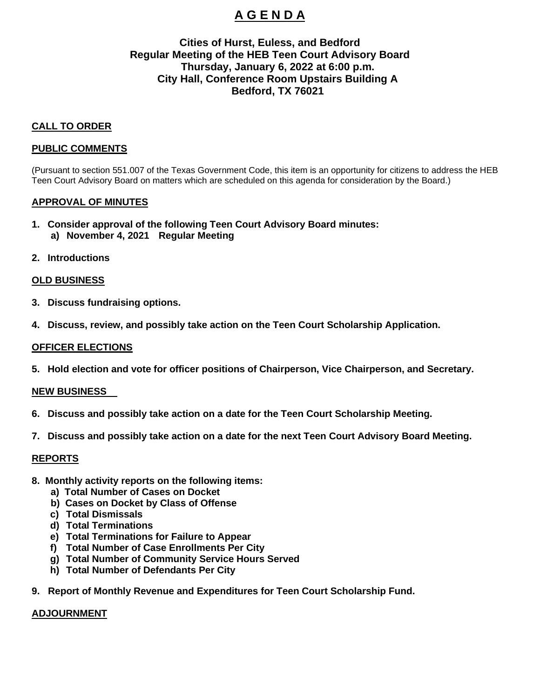# **A G E N D A**

## **Cities of Hurst, Euless, and Bedford Regular Meeting of the HEB Teen Court Advisory Board Thursday, January 6, 2022 at 6:00 p.m. City Hall, Conference Room Upstairs Building A Bedford, TX 76021**

### **CALL TO ORDER**

#### **PUBLIC COMMENTS**

(Pursuant to section 551.007 of the Texas Government Code, this item is an opportunity for citizens to address the HEB Teen Court Advisory Board on matters which are scheduled on this agenda for consideration by the Board.)

#### **APPROVAL OF MINUTES**

- **1. Consider approval of the following Teen Court Advisory Board minutes: a) November 4, 2021 Regular Meeting**
- **2. Introductions**

#### **OLD BUSINESS**

- **3. Discuss fundraising options.**
- **4. Discuss, review, and possibly take action on the Teen Court Scholarship Application.**

#### **OFFICER ELECTIONS**

**5. Hold election and vote for officer positions of Chairperson, Vice Chairperson, and Secretary.** 

#### **NEW BUSINESS**

- **6. Discuss and possibly take action on a date for the Teen Court Scholarship Meeting.**
- **7. Discuss and possibly take action on a date for the next Teen Court Advisory Board Meeting.**

#### **REPORTS**

- **8. Monthly activity reports on the following items:**
	- **a) Total Number of Cases on Docket**
	- **b) Cases on Docket by Class of Offense**
	- **c) Total Dismissals**
	- **d) Total Terminations**
	- **e) Total Terminations for Failure to Appear**
	- **f) Total Number of Case Enrollments Per City**
	- **g) Total Number of Community Service Hours Served**
	- **h) Total Number of Defendants Per City**
- **9. Report of Monthly Revenue and Expenditures for Teen Court Scholarship Fund.**

#### **ADJOURNMENT**